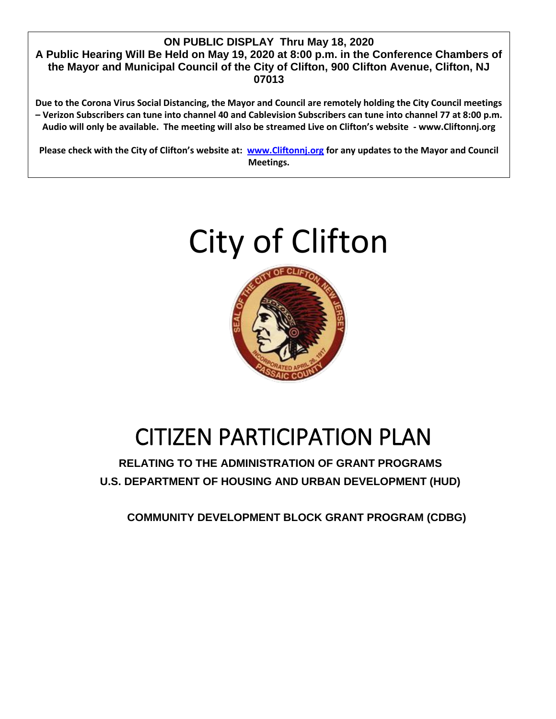#### **ON PUBLIC DISPLAY Thru May 18, 2020 A Public Hearing Will Be Held on May 19, 2020 at 8:00 p.m. in the Conference Chambers of the Mayor and Municipal Council of the City of Clifton, 900 Clifton Avenue, Clifton, NJ 07013**

**Due to the Corona Virus Social Distancing, the Mayor and Council are remotely holding the City Council meetings – Verizon Subscribers can tune into channel 40 and Cablevision Subscribers can tune into channel 77 at 8:00 p.m. Audio will only be available. The meeting will also be streamed Live on Clifton's website - www.Cliftonnj.org**

**Please check with the City of Clifton's website at: [www.Cliftonnj.org](http://www.cliftonnj.org/) for any updates to the Mayor and Council Meetings.** 

# City of Clifton



## CITIZEN PARTICIPATION PLAN

**RELATING TO THE ADMINISTRATION OF GRANT PROGRAMS U.S. DEPARTMENT OF HOUSING AND URBAN DEVELOPMENT (HUD)**

**COMMUNITY DEVELOPMENT BLOCK GRANT PROGRAM (CDBG)**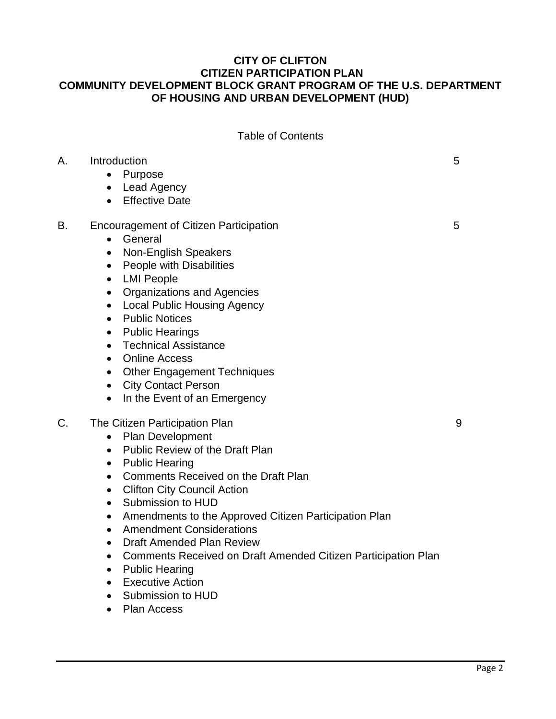## **CITY OF CLIFTON CITIZEN PARTICIPATION PLAN COMMUNITY DEVELOPMENT BLOCK GRANT PROGRAM OF THE U.S. DEPARTMENT OF HOUSING AND URBAN DEVELOPMENT (HUD)**

|  | <b>Table of Contents</b> |
|--|--------------------------|
|--|--------------------------|

| А. | Introduction<br>Purpose<br>$\bullet$<br>Lead Agency<br>$\bullet$<br><b>Effective Date</b><br>$\bullet$                                                                                                                                                                                                                                                                                                                                                                                                                                                                                                                                                                                                 | 5 |
|----|--------------------------------------------------------------------------------------------------------------------------------------------------------------------------------------------------------------------------------------------------------------------------------------------------------------------------------------------------------------------------------------------------------------------------------------------------------------------------------------------------------------------------------------------------------------------------------------------------------------------------------------------------------------------------------------------------------|---|
| В. | <b>Encouragement of Citizen Participation</b><br>General<br>$\bullet$<br><b>Non-English Speakers</b><br>٠<br>People with Disabilities<br>$\bullet$<br><b>LMI People</b><br>$\bullet$<br><b>Organizations and Agencies</b><br>$\bullet$<br><b>Local Public Housing Agency</b><br>$\bullet$<br><b>Public Notices</b><br>$\bullet$<br><b>Public Hearings</b><br>$\bullet$<br><b>Technical Assistance</b><br>$\bullet$<br><b>Online Access</b><br>$\bullet$<br><b>Other Engagement Techniques</b><br>$\bullet$<br><b>City Contact Person</b><br>$\bullet$<br>In the Event of an Emergency<br>$\bullet$                                                                                                     | 5 |
| C. | The Citizen Participation Plan<br>Plan Development<br>$\bullet$<br>Public Review of the Draft Plan<br>$\bullet$<br><b>Public Hearing</b><br>$\bullet$<br>Comments Received on the Draft Plan<br>$\bullet$<br><b>Clifton City Council Action</b><br>$\bullet$<br>Submission to HUD<br>$\bullet$<br>Amendments to the Approved Citizen Participation Plan<br>$\bullet$<br><b>Amendment Considerations</b><br>$\bullet$<br><b>Draft Amended Plan Review</b><br>$\bullet$<br>Comments Received on Draft Amended Citizen Participation Plan<br>$\bullet$<br><b>Public Hearing</b><br>$\bullet$<br><b>Executive Action</b><br>$\bullet$<br>Submission to HUD<br>$\bullet$<br><b>Plan Access</b><br>$\bullet$ | 9 |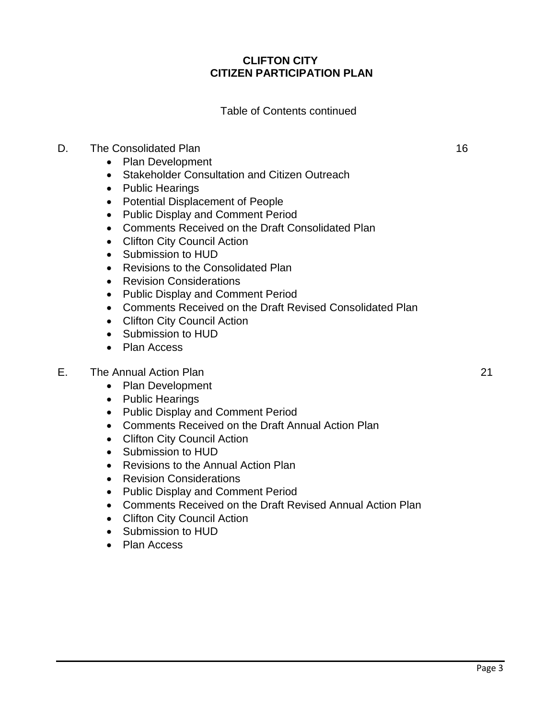## **CLIFTON CITY CITIZEN PARTICIPATION PLAN**

#### Table of Contents continued

## D. The Consolidated Plan 16

- Plan Development
- Stakeholder Consultation and Citizen Outreach
- Public Hearings
- Potential Displacement of People
- Public Display and Comment Period
- Comments Received on the Draft Consolidated Plan
- Clifton City Council Action
- Submission to HUD
- Revisions to the Consolidated Plan
- Revision Considerations
- Public Display and Comment Period
- Comments Received on the Draft Revised Consolidated Plan
- Clifton City Council Action
- Submission to HUD
- Plan Access

#### E. The Annual Action Plan 21

- Plan Development
- Public Hearings
- Public Display and Comment Period
- Comments Received on the Draft Annual Action Plan
- Clifton City Council Action
- Submission to HUD
- Revisions to the Annual Action Plan
- Revision Considerations
- Public Display and Comment Period
- Comments Received on the Draft Revised Annual Action Plan
- Clifton City Council Action
- Submission to HUD
- Plan Access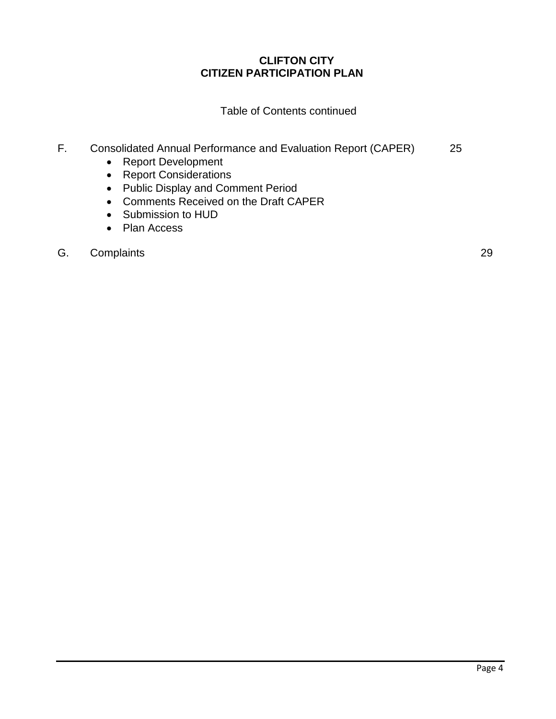## **CLIFTON CITY CITIZEN PARTICIPATION PLAN**

Table of Contents continued

## F. Consolidated Annual Performance and Evaluation Report (CAPER) 25

- Report Development
- Report Considerations
- Public Display and Comment Period
- Comments Received on the Draft CAPER
- Submission to HUD
- Plan Access

#### G. Complaints 29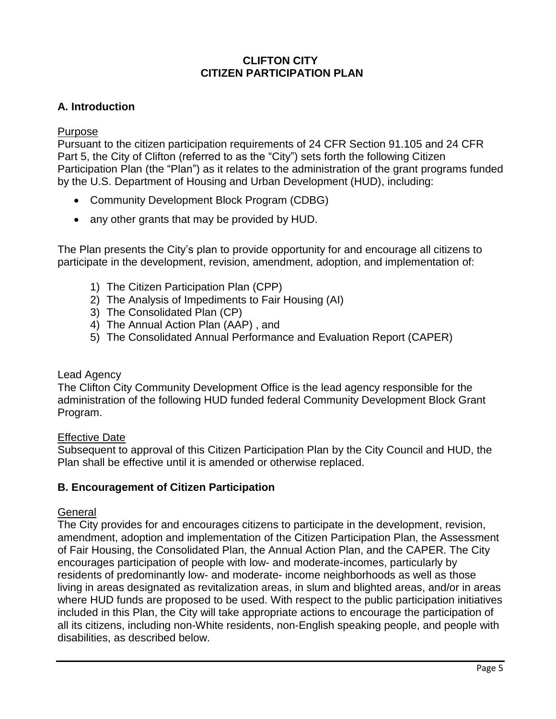## **CLIFTON CITY CITIZEN PARTICIPATION PLAN**

## **A. Introduction**

## Purpose

Pursuant to the citizen participation requirements of 24 CFR Section 91.105 and 24 CFR Part 5, the City of Clifton (referred to as the "City") sets forth the following Citizen Participation Plan (the "Plan") as it relates to the administration of the grant programs funded by the U.S. Department of Housing and Urban Development (HUD), including:

- Community Development Block Program (CDBG)
- any other grants that may be provided by HUD.

The Plan presents the City's plan to provide opportunity for and encourage all citizens to participate in the development, revision, amendment, adoption, and implementation of:

- 1) The Citizen Participation Plan (CPP)
- 2) The Analysis of Impediments to Fair Housing (AI)
- 3) The Consolidated Plan (CP)
- 4) The Annual Action Plan (AAP) , and
- 5) The Consolidated Annual Performance and Evaluation Report (CAPER)

## Lead Agency

The Clifton City Community Development Office is the lead agency responsible for the administration of the following HUD funded federal Community Development Block Grant Program.

## Effective Date

Subsequent to approval of this Citizen Participation Plan by the City Council and HUD, the Plan shall be effective until it is amended or otherwise replaced.

## **B. Encouragement of Citizen Participation**

## General

The City provides for and encourages citizens to participate in the development, revision, amendment, adoption and implementation of the Citizen Participation Plan, the Assessment of Fair Housing, the Consolidated Plan, the Annual Action Plan, and the CAPER. The City encourages participation of people with low- and moderate-incomes, particularly by residents of predominantly low- and moderate- income neighborhoods as well as those living in areas designated as revitalization areas, in slum and blighted areas, and/or in areas where HUD funds are proposed to be used. With respect to the public participation initiatives included in this Plan, the City will take appropriate actions to encourage the participation of all its citizens, including non-White residents, non-English speaking people, and people with disabilities, as described below.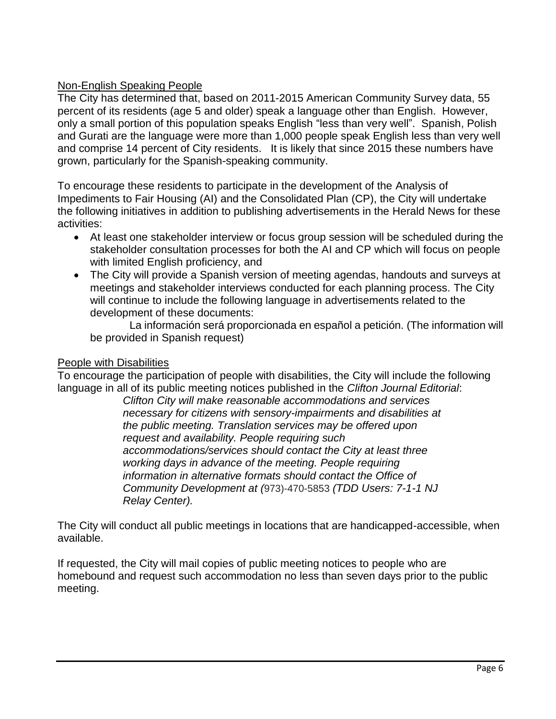## Non-English Speaking People

The City has determined that, based on 2011-2015 American Community Survey data, 55 percent of its residents (age 5 and older) speak a language other than English. However, only a small portion of this population speaks English "less than very well". Spanish, Polish and Gurati are the language were more than 1,000 people speak English less than very well and comprise 14 percent of City residents. It is likely that since 2015 these numbers have grown, particularly for the Spanish-speaking community.

To encourage these residents to participate in the development of the Analysis of Impediments to Fair Housing (AI) and the Consolidated Plan (CP), the City will undertake the following initiatives in addition to publishing advertisements in the Herald News for these activities:

- At least one stakeholder interview or focus group session will be scheduled during the stakeholder consultation processes for both the AI and CP which will focus on people with limited English proficiency, and
- The City will provide a Spanish version of meeting agendas, handouts and surveys at meetings and stakeholder interviews conducted for each planning process. The City will continue to include the following language in advertisements related to the development of these documents:

 La información será proporcionada en español a petición. (The information will be provided in Spanish request)

## People with Disabilities

To encourage the participation of people with disabilities, the City will include the following language in all of its public meeting notices published in the *Clifton Journal Editorial*:

*Clifton City will make reasonable accommodations and services necessary for citizens with sensory-impairments and disabilities at the public meeting. Translation services may be offered upon request and availability. People requiring such accommodations/services should contact the City at least three working days in advance of the meeting. People requiring information in alternative formats should contact the Office of Community Development at (*973)-470-5853 *(TDD Users: 7-1-1 NJ Relay Center).* 

The City will conduct all public meetings in locations that are handicapped-accessible, when available.

If requested, the City will mail copies of public meeting notices to people who are homebound and request such accommodation no less than seven days prior to the public meeting.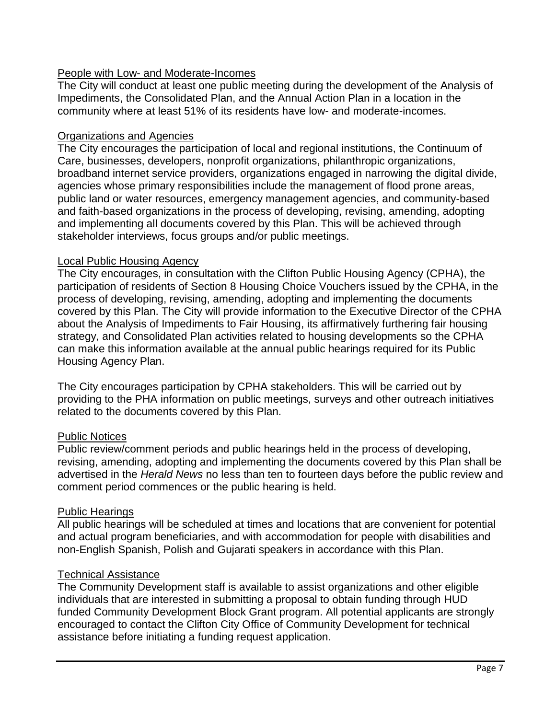## People with Low- and Moderate-Incomes

The City will conduct at least one public meeting during the development of the Analysis of Impediments, the Consolidated Plan, and the Annual Action Plan in a location in the community where at least 51% of its residents have low- and moderate-incomes.

## Organizations and Agencies

The City encourages the participation of local and regional institutions, the Continuum of Care, businesses, developers, nonprofit organizations, philanthropic organizations, broadband internet service providers, organizations engaged in narrowing the digital divide, agencies whose primary responsibilities include the management of flood prone areas, public land or water resources, emergency management agencies, and community-based and faith-based organizations in the process of developing, revising, amending, adopting and implementing all documents covered by this Plan. This will be achieved through stakeholder interviews, focus groups and/or public meetings.

## Local Public Housing Agency

The City encourages, in consultation with the Clifton Public Housing Agency (CPHA), the participation of residents of Section 8 Housing Choice Vouchers issued by the CPHA, in the process of developing, revising, amending, adopting and implementing the documents covered by this Plan. The City will provide information to the Executive Director of the CPHA about the Analysis of Impediments to Fair Housing, its affirmatively furthering fair housing strategy, and Consolidated Plan activities related to housing developments so the CPHA can make this information available at the annual public hearings required for its Public Housing Agency Plan.

The City encourages participation by CPHA stakeholders. This will be carried out by providing to the PHA information on public meetings, surveys and other outreach initiatives related to the documents covered by this Plan.

## Public Notices

Public review/comment periods and public hearings held in the process of developing, revising, amending, adopting and implementing the documents covered by this Plan shall be advertised in the *Herald News* no less than ten to fourteen days before the public review and comment period commences or the public hearing is held.

## Public Hearings

All public hearings will be scheduled at times and locations that are convenient for potential and actual program beneficiaries, and with accommodation for people with disabilities and non-English Spanish, Polish and Gujarati speakers in accordance with this Plan.

## Technical Assistance

The Community Development staff is available to assist organizations and other eligible individuals that are interested in submitting a proposal to obtain funding through HUD funded Community Development Block Grant program. All potential applicants are strongly encouraged to contact the Clifton City Office of Community Development for technical assistance before initiating a funding request application.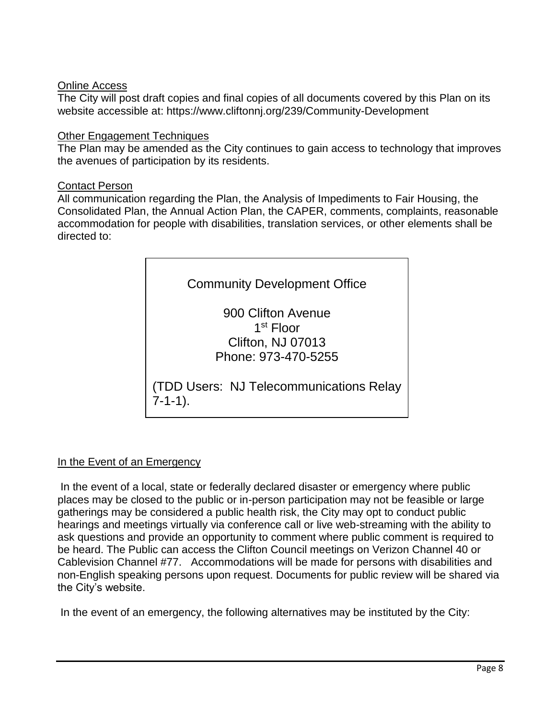## Online Access

The City will post draft copies and final copies of all documents covered by this Plan on its website accessible at: https://www.cliftonnj.org/239/Community-Development

## Other Engagement Techniques

The Plan may be amended as the City continues to gain access to technology that improves the avenues of participation by its residents.

## Contact Person

All communication regarding the Plan, the Analysis of Impediments to Fair Housing, the Consolidated Plan, the Annual Action Plan, the CAPER, comments, complaints, reasonable accommodation for people with disabilities, translation services, or other elements shall be directed to:



## In the Event of an Emergency

In the event of a local, state or federally declared disaster or emergency where public places may be closed to the public or in-person participation may not be feasible or large gatherings may be considered a public health risk, the City may opt to conduct public hearings and meetings virtually via conference call or live web-streaming with the ability to ask questions and provide an opportunity to comment where public comment is required to be heard. The Public can access the Clifton Council meetings on Verizon Channel 40 or Cablevision Channel #77. Accommodations will be made for persons with disabilities and non-English speaking persons upon request. Documents for public review will be shared via the City's website.

In the event of an emergency, the following alternatives may be instituted by the City: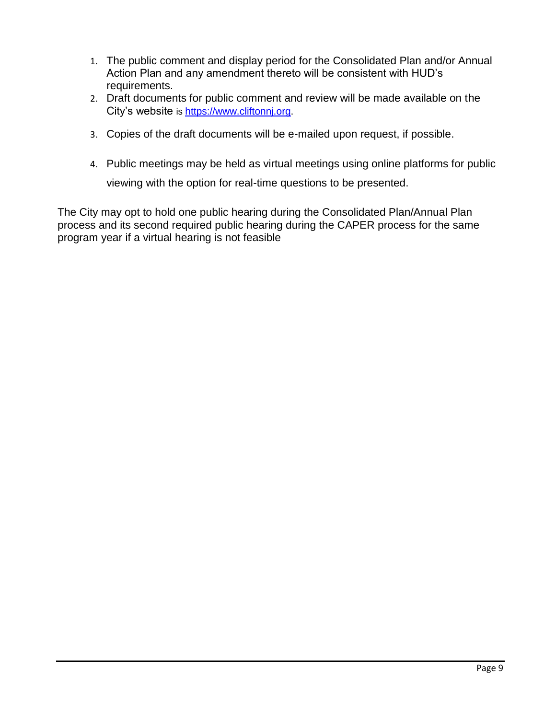- 1. The public comment and display period for the Consolidated Plan and/or Annual Action Plan and any amendment thereto will be consistent with HUD's requirements.
- 2. Draft documents for public comment and review will be made available on the City's website is [https://www.cliftonnj.org.](https://linkprotect.cudasvc.com/url?a=https%3a%2f%2fwww.cliftonnj.org&c=E,1,w7SQEc_e72ZkKcZ4Ic3bJDhKfz_SCtiLKFJrTbHTOwEDa95csnVFk3h-1xLjhJMy7Er2mpvJVxvaOMWSHFat0-q2BSt41DDMkvkTT6zw0gz3Zuw,&typo=1)
- 3. Copies of the draft documents will be e-mailed upon request, if possible.
- 4. Public meetings may be held as virtual meetings using online platforms for public viewing with the option for real-time questions to be presented.

The City may opt to hold one public hearing during the Consolidated Plan/Annual Plan process and its second required public hearing during the CAPER process for the same program year if a virtual hearing is not feasible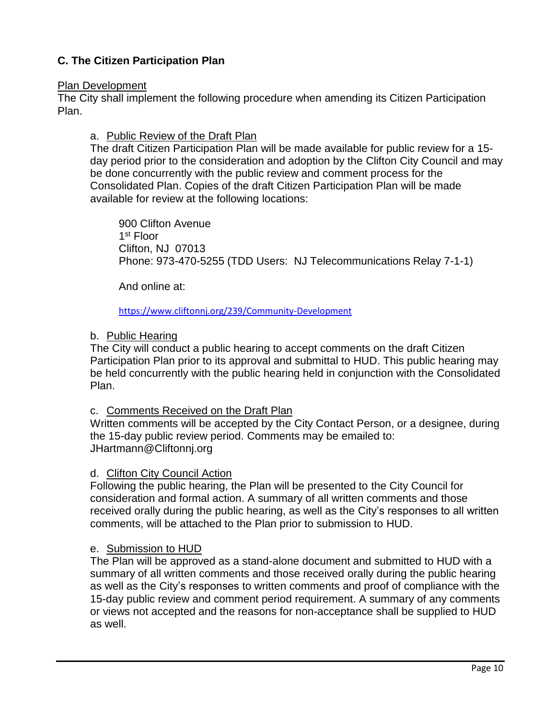## **C. The Citizen Participation Plan**

#### Plan Development

The City shall implement the following procedure when amending its Citizen Participation Plan.

## a. Public Review of the Draft Plan

The draft Citizen Participation Plan will be made available for public review for a 15 day period prior to the consideration and adoption by the Clifton City Council and may be done concurrently with the public review and comment process for the Consolidated Plan. Copies of the draft Citizen Participation Plan will be made available for review at the following locations:

900 Clifton Avenue 1 st Floor Clifton, NJ 07013 Phone: 973-470-5255 (TDD Users: NJ Telecommunications Relay 7-1-1)

And online at:

<https://www.cliftonnj.org/239/Community-Development>

## b. Public Hearing

The City will conduct a public hearing to accept comments on the draft Citizen Participation Plan prior to its approval and submittal to HUD. This public hearing may be held concurrently with the public hearing held in conjunction with the Consolidated Plan.

## c. Comments Received on the Draft Plan

Written comments will be accepted by the City Contact Person, or a designee, during the 15-day public review period. Comments may be emailed to: JHartmann@Cliftonnj.org

## d. Clifton City Council Action

Following the public hearing, the Plan will be presented to the City Council for consideration and formal action. A summary of all written comments and those received orally during the public hearing, as well as the City's responses to all written comments, will be attached to the Plan prior to submission to HUD.

## e. Submission to HUD

The Plan will be approved as a stand-alone document and submitted to HUD with a summary of all written comments and those received orally during the public hearing as well as the City's responses to written comments and proof of compliance with the 15-day public review and comment period requirement. A summary of any comments or views not accepted and the reasons for non-acceptance shall be supplied to HUD as well.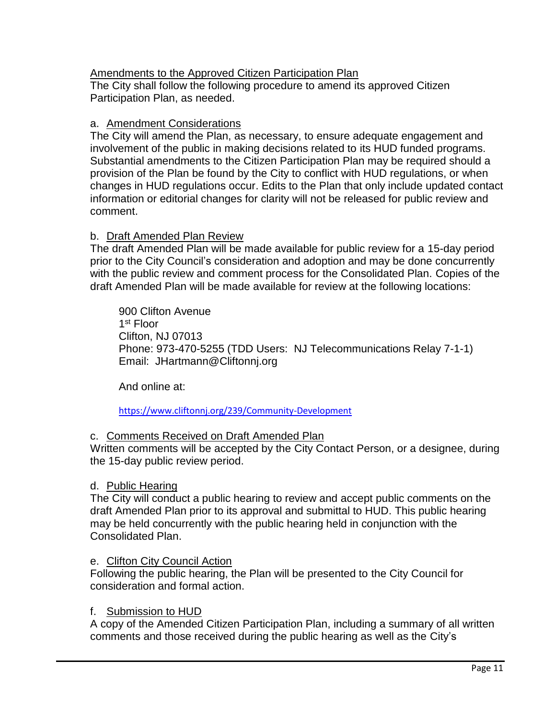## Amendments to the Approved Citizen Participation Plan

The City shall follow the following procedure to amend its approved Citizen Participation Plan, as needed.

## a. Amendment Considerations

The City will amend the Plan, as necessary, to ensure adequate engagement and involvement of the public in making decisions related to its HUD funded programs. Substantial amendments to the Citizen Participation Plan may be required should a provision of the Plan be found by the City to conflict with HUD regulations, or when changes in HUD regulations occur. Edits to the Plan that only include updated contact information or editorial changes for clarity will not be released for public review and comment.

## b. Draft Amended Plan Review

The draft Amended Plan will be made available for public review for a 15-day period prior to the City Council's consideration and adoption and may be done concurrently with the public review and comment process for the Consolidated Plan. Copies of the draft Amended Plan will be made available for review at the following locations:

900 Clifton Avenue 1 st Floor Clifton, NJ 07013 Phone: 973-470-5255 (TDD Users: NJ Telecommunications Relay 7-1-1) Email: JHartmann@Cliftonnj.org

And online at:

## <https://www.cliftonnj.org/239/Community-Development>

## c. Comments Received on Draft Amended Plan

Written comments will be accepted by the City Contact Person, or a designee, during the 15-day public review period.

## d. Public Hearing

The City will conduct a public hearing to review and accept public comments on the draft Amended Plan prior to its approval and submittal to HUD. This public hearing may be held concurrently with the public hearing held in conjunction with the Consolidated Plan.

## e. Clifton City Council Action

Following the public hearing, the Plan will be presented to the City Council for consideration and formal action.

## f. Submission to HUD

A copy of the Amended Citizen Participation Plan, including a summary of all written comments and those received during the public hearing as well as the City's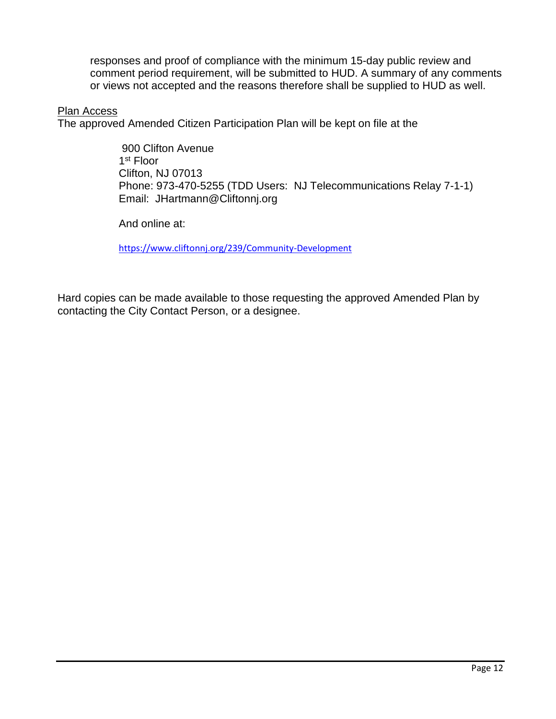responses and proof of compliance with the minimum 15-day public review and comment period requirement, will be submitted to HUD. A summary of any comments or views not accepted and the reasons therefore shall be supplied to HUD as well.

#### Plan Access

The approved Amended Citizen Participation Plan will be kept on file at the

900 Clifton Avenue 1 st Floor Clifton, NJ 07013 Phone: 973-470-5255 (TDD Users: NJ Telecommunications Relay 7-1-1) Email: JHartmann@Cliftonnj.org

And online at:

<https://www.cliftonnj.org/239/Community-Development>

Hard copies can be made available to those requesting the approved Amended Plan by contacting the City Contact Person, or a designee.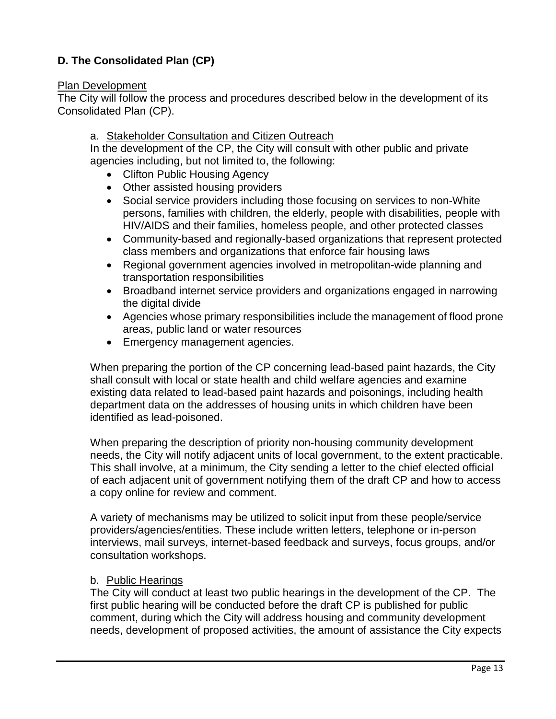## **D. The Consolidated Plan (CP)**

## Plan Development

The City will follow the process and procedures described below in the development of its Consolidated Plan (CP).

## a. Stakeholder Consultation and Citizen Outreach

In the development of the CP, the City will consult with other public and private agencies including, but not limited to, the following:

- Clifton Public Housing Agency
- Other assisted housing providers
- Social service providers including those focusing on services to non-White persons, families with children, the elderly, people with disabilities, people with HIV/AIDS and their families, homeless people, and other protected classes
- Community-based and regionally-based organizations that represent protected class members and organizations that enforce fair housing laws
- Regional government agencies involved in metropolitan-wide planning and transportation responsibilities
- Broadband internet service providers and organizations engaged in narrowing the digital divide
- Agencies whose primary responsibilities include the management of flood prone areas, public land or water resources
- Emergency management agencies.

When preparing the portion of the CP concerning lead-based paint hazards, the City shall consult with local or state health and child welfare agencies and examine existing data related to lead-based paint hazards and poisonings, including health department data on the addresses of housing units in which children have been identified as lead-poisoned.

When preparing the description of priority non-housing community development needs, the City will notify adjacent units of local government, to the extent practicable. This shall involve, at a minimum, the City sending a letter to the chief elected official of each adjacent unit of government notifying them of the draft CP and how to access a copy online for review and comment.

A variety of mechanisms may be utilized to solicit input from these people/service providers/agencies/entities. These include written letters, telephone or in-person interviews, mail surveys, internet-based feedback and surveys, focus groups, and/or consultation workshops.

## b. Public Hearings

The City will conduct at least two public hearings in the development of the CP. The first public hearing will be conducted before the draft CP is published for public comment, during which the City will address housing and community development needs, development of proposed activities, the amount of assistance the City expects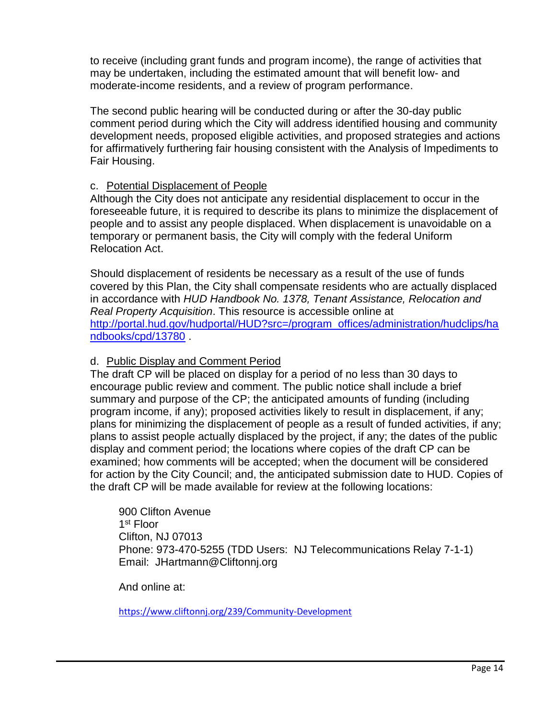to receive (including grant funds and program income), the range of activities that may be undertaken, including the estimated amount that will benefit low- and moderate-income residents, and a review of program performance.

The second public hearing will be conducted during or after the 30-day public comment period during which the City will address identified housing and community development needs, proposed eligible activities, and proposed strategies and actions for affirmatively furthering fair housing consistent with the Analysis of Impediments to Fair Housing.

## c. Potential Displacement of People

Although the City does not anticipate any residential displacement to occur in the foreseeable future, it is required to describe its plans to minimize the displacement of people and to assist any people displaced. When displacement is unavoidable on a temporary or permanent basis, the City will comply with the federal Uniform Relocation Act.

Should displacement of residents be necessary as a result of the use of funds covered by this Plan, the City shall compensate residents who are actually displaced in accordance with *HUD Handbook No. 1378, Tenant Assistance, Relocation and Real Property Acquisition*. This resource is accessible online at [http://portal.hud.gov/hudportal/HUD?src=/program\\_offices/administration/hudclips/ha](http://portal.hud.gov/hudportal/HUD?src=/program_offices/administration/hudclips/handbooks/cpd/13780) [ndbooks/cpd/13780](http://portal.hud.gov/hudportal/HUD?src=/program_offices/administration/hudclips/handbooks/cpd/13780) .

## d. Public Display and Comment Period

The draft CP will be placed on display for a period of no less than 30 days to encourage public review and comment. The public notice shall include a brief summary and purpose of the CP; the anticipated amounts of funding (including program income, if any); proposed activities likely to result in displacement, if any; plans for minimizing the displacement of people as a result of funded activities, if any; plans to assist people actually displaced by the project, if any; the dates of the public display and comment period; the locations where copies of the draft CP can be examined; how comments will be accepted; when the document will be considered for action by the City Council; and, the anticipated submission date to HUD. Copies of the draft CP will be made available for review at the following locations:

900 Clifton Avenue 1 st Floor Clifton, NJ 07013 Phone: 973-470-5255 (TDD Users: NJ Telecommunications Relay 7-1-1) Email: JHartmann@Cliftonnj.org

And online at:

<https://www.cliftonnj.org/239/Community-Development>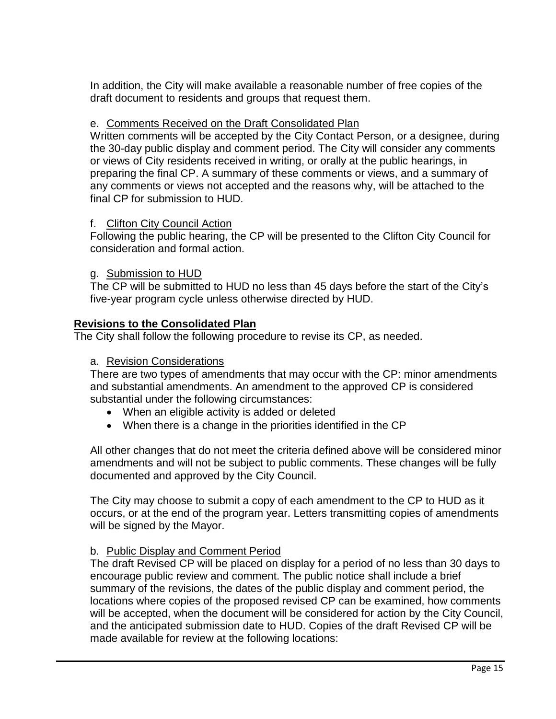In addition, the City will make available a reasonable number of free copies of the draft document to residents and groups that request them.

## e. Comments Received on the Draft Consolidated Plan

Written comments will be accepted by the City Contact Person, or a designee, during the 30-day public display and comment period. The City will consider any comments or views of City residents received in writing, or orally at the public hearings, in preparing the final CP. A summary of these comments or views, and a summary of any comments or views not accepted and the reasons why, will be attached to the final CP for submission to HUD.

## f. Clifton City Council Action

Following the public hearing, the CP will be presented to the Clifton City Council for consideration and formal action.

## g. Submission to HUD

The CP will be submitted to HUD no less than 45 days before the start of the City's five-year program cycle unless otherwise directed by HUD.

## **Revisions to the Consolidated Plan**

The City shall follow the following procedure to revise its CP, as needed.

## a. Revision Considerations

There are two types of amendments that may occur with the CP: minor amendments and substantial amendments. An amendment to the approved CP is considered substantial under the following circumstances:

- When an eligible activity is added or deleted
- When there is a change in the priorities identified in the CP

All other changes that do not meet the criteria defined above will be considered minor amendments and will not be subject to public comments. These changes will be fully documented and approved by the City Council.

The City may choose to submit a copy of each amendment to the CP to HUD as it occurs, or at the end of the program year. Letters transmitting copies of amendments will be signed by the Mayor.

## b. Public Display and Comment Period

The draft Revised CP will be placed on display for a period of no less than 30 days to encourage public review and comment. The public notice shall include a brief summary of the revisions, the dates of the public display and comment period, the locations where copies of the proposed revised CP can be examined, how comments will be accepted, when the document will be considered for action by the City Council, and the anticipated submission date to HUD. Copies of the draft Revised CP will be made available for review at the following locations: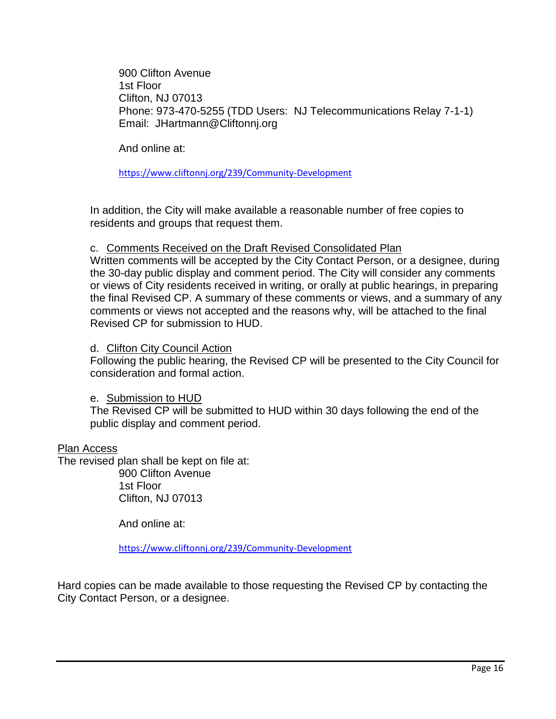900 Clifton Avenue 1st Floor Clifton, NJ 07013 Phone: 973-470-5255 (TDD Users: NJ Telecommunications Relay 7-1-1) Email: JHartmann@Cliftonnj.org

And online at:

<https://www.cliftonnj.org/239/Community-Development>

In addition, the City will make available a reasonable number of free copies to residents and groups that request them.

#### c. Comments Received on the Draft Revised Consolidated Plan

Written comments will be accepted by the City Contact Person, or a designee, during the 30-day public display and comment period. The City will consider any comments or views of City residents received in writing, or orally at public hearings, in preparing the final Revised CP. A summary of these comments or views, and a summary of any comments or views not accepted and the reasons why, will be attached to the final Revised CP for submission to HUD.

#### d. Clifton City Council Action

Following the public hearing, the Revised CP will be presented to the City Council for consideration and formal action.

#### e. Submission to HUD

The Revised CP will be submitted to HUD within 30 days following the end of the public display and comment period.

#### Plan Access

The revised plan shall be kept on file at:

900 Clifton Avenue 1st Floor Clifton, NJ 07013

And online at:

<https://www.cliftonnj.org/239/Community-Development>

Hard copies can be made available to those requesting the Revised CP by contacting the City Contact Person, or a designee.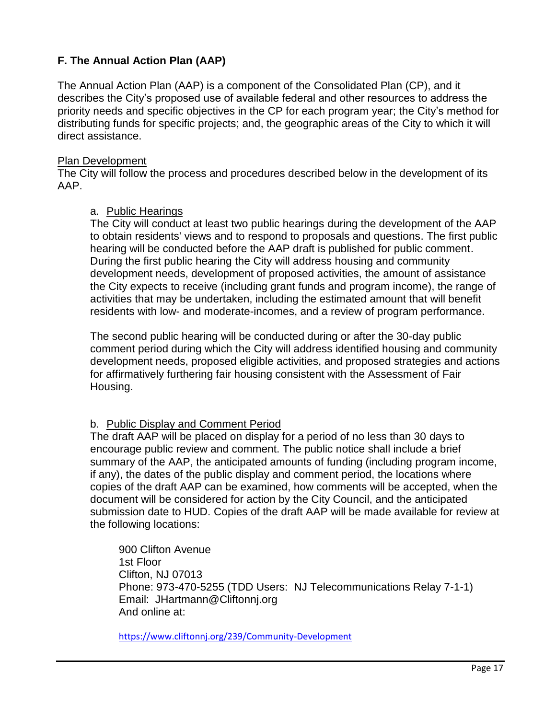## **F. The Annual Action Plan (AAP)**

The Annual Action Plan (AAP) is a component of the Consolidated Plan (CP), and it describes the City's proposed use of available federal and other resources to address the priority needs and specific objectives in the CP for each program year; the City's method for distributing funds for specific projects; and, the geographic areas of the City to which it will direct assistance.

## Plan Development

The City will follow the process and procedures described below in the development of its AAP.

#### a. Public Hearings

The City will conduct at least two public hearings during the development of the AAP to obtain residents' views and to respond to proposals and questions. The first public hearing will be conducted before the AAP draft is published for public comment. During the first public hearing the City will address housing and community development needs, development of proposed activities, the amount of assistance the City expects to receive (including grant funds and program income), the range of activities that may be undertaken, including the estimated amount that will benefit residents with low- and moderate-incomes, and a review of program performance.

The second public hearing will be conducted during or after the 30-day public comment period during which the City will address identified housing and community development needs, proposed eligible activities, and proposed strategies and actions for affirmatively furthering fair housing consistent with the Assessment of Fair Housing.

## b. Public Display and Comment Period

The draft AAP will be placed on display for a period of no less than 30 days to encourage public review and comment. The public notice shall include a brief summary of the AAP, the anticipated amounts of funding (including program income, if any), the dates of the public display and comment period, the locations where copies of the draft AAP can be examined, how comments will be accepted, when the document will be considered for action by the City Council, and the anticipated submission date to HUD. Copies of the draft AAP will be made available for review at the following locations:

900 Clifton Avenue 1st Floor Clifton, NJ 07013 Phone: 973-470-5255 (TDD Users: NJ Telecommunications Relay 7-1-1) Email: JHartmann@Cliftonnj.org And online at:

<https://www.cliftonnj.org/239/Community-Development>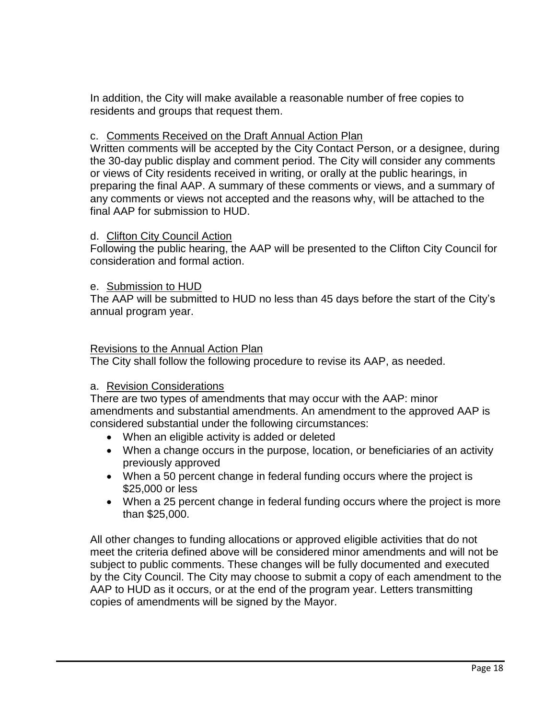In addition, the City will make available a reasonable number of free copies to residents and groups that request them.

## c. Comments Received on the Draft Annual Action Plan

Written comments will be accepted by the City Contact Person, or a designee, during the 30-day public display and comment period. The City will consider any comments or views of City residents received in writing, or orally at the public hearings, in preparing the final AAP. A summary of these comments or views, and a summary of any comments or views not accepted and the reasons why, will be attached to the final AAP for submission to HUD.

## d. Clifton City Council Action

Following the public hearing, the AAP will be presented to the Clifton City Council for consideration and formal action.

## e. Submission to HUD

The AAP will be submitted to HUD no less than 45 days before the start of the City's annual program year.

#### Revisions to the Annual Action Plan

The City shall follow the following procedure to revise its AAP, as needed.

## a. Revision Considerations

There are two types of amendments that may occur with the AAP: minor amendments and substantial amendments. An amendment to the approved AAP is considered substantial under the following circumstances:

- When an eligible activity is added or deleted
- When a change occurs in the purpose, location, or beneficiaries of an activity previously approved
- When a 50 percent change in federal funding occurs where the project is \$25,000 or less
- When a 25 percent change in federal funding occurs where the project is more than \$25,000.

All other changes to funding allocations or approved eligible activities that do not meet the criteria defined above will be considered minor amendments and will not be subject to public comments. These changes will be fully documented and executed by the City Council. The City may choose to submit a copy of each amendment to the AAP to HUD as it occurs, or at the end of the program year. Letters transmitting copies of amendments will be signed by the Mayor.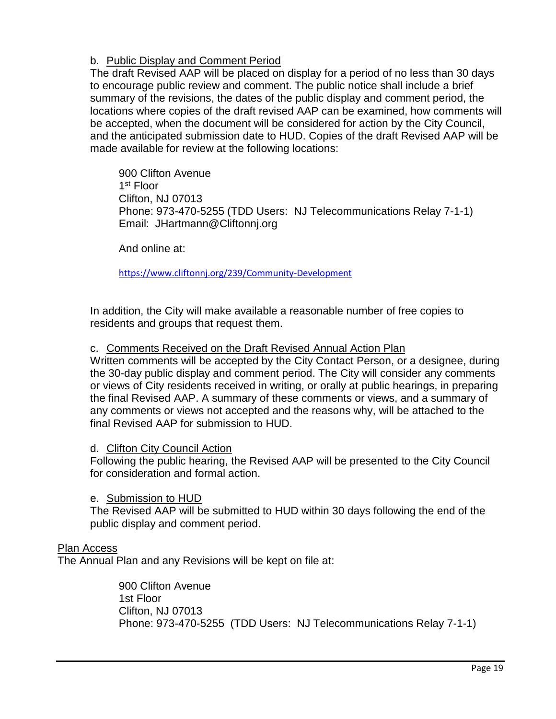## b. Public Display and Comment Period

The draft Revised AAP will be placed on display for a period of no less than 30 days to encourage public review and comment. The public notice shall include a brief summary of the revisions, the dates of the public display and comment period, the locations where copies of the draft revised AAP can be examined, how comments will be accepted, when the document will be considered for action by the City Council, and the anticipated submission date to HUD. Copies of the draft Revised AAP will be made available for review at the following locations:

900 Clifton Avenue 1 st Floor Clifton, NJ 07013 Phone: 973-470-5255 (TDD Users: NJ Telecommunications Relay 7-1-1) Email: JHartmann@Cliftonnj.org

And online at:

<https://www.cliftonnj.org/239/Community-Development>

In addition, the City will make available a reasonable number of free copies to residents and groups that request them.

## c. Comments Received on the Draft Revised Annual Action Plan

Written comments will be accepted by the City Contact Person, or a designee, during the 30-day public display and comment period. The City will consider any comments or views of City residents received in writing, or orally at public hearings, in preparing the final Revised AAP. A summary of these comments or views, and a summary of any comments or views not accepted and the reasons why, will be attached to the final Revised AAP for submission to HUD.

## d. Clifton City Council Action

Following the public hearing, the Revised AAP will be presented to the City Council for consideration and formal action.

## e. Submission to HUD

The Revised AAP will be submitted to HUD within 30 days following the end of the public display and comment period.

## Plan Access

The Annual Plan and any Revisions will be kept on file at:

900 Clifton Avenue 1st Floor Clifton, NJ 07013 Phone: 973-470-5255 (TDD Users: NJ Telecommunications Relay 7-1-1)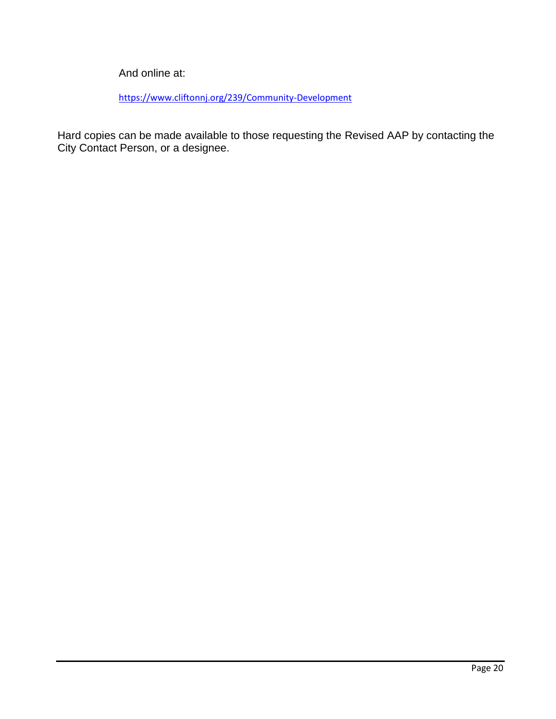And online at:

<https://www.cliftonnj.org/239/Community-Development>

Hard copies can be made available to those requesting the Revised AAP by contacting the City Contact Person, or a designee.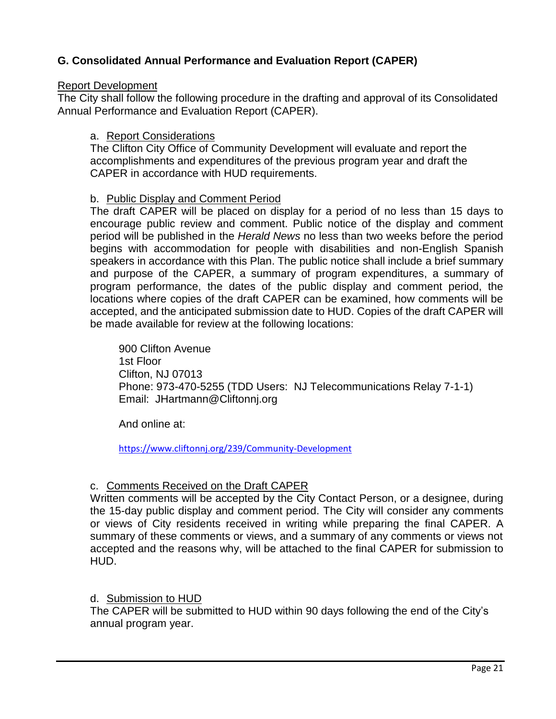## **G. Consolidated Annual Performance and Evaluation Report (CAPER)**

#### Report Development

The City shall follow the following procedure in the drafting and approval of its Consolidated Annual Performance and Evaluation Report (CAPER).

## a. Report Considerations

The Clifton City Office of Community Development will evaluate and report the accomplishments and expenditures of the previous program year and draft the CAPER in accordance with HUD requirements.

## b. Public Display and Comment Period

The draft CAPER will be placed on display for a period of no less than 15 days to encourage public review and comment. Public notice of the display and comment period will be published in the *Herald News* no less than two weeks before the period begins with accommodation for people with disabilities and non-English Spanish speakers in accordance with this Plan. The public notice shall include a brief summary and purpose of the CAPER, a summary of program expenditures, a summary of program performance, the dates of the public display and comment period, the locations where copies of the draft CAPER can be examined, how comments will be accepted, and the anticipated submission date to HUD. Copies of the draft CAPER will be made available for review at the following locations:

900 Clifton Avenue 1st Floor Clifton, NJ 07013 Phone: 973-470-5255 (TDD Users: NJ Telecommunications Relay 7-1-1) Email: JHartmann@Cliftonnj.org

And online at:

<https://www.cliftonnj.org/239/Community-Development>

## c. Comments Received on the Draft CAPER

Written comments will be accepted by the City Contact Person, or a designee, during the 15-day public display and comment period. The City will consider any comments or views of City residents received in writing while preparing the final CAPER. A summary of these comments or views, and a summary of any comments or views not accepted and the reasons why, will be attached to the final CAPER for submission to HUD.

## d. Submission to HUD

The CAPER will be submitted to HUD within 90 days following the end of the City's annual program year.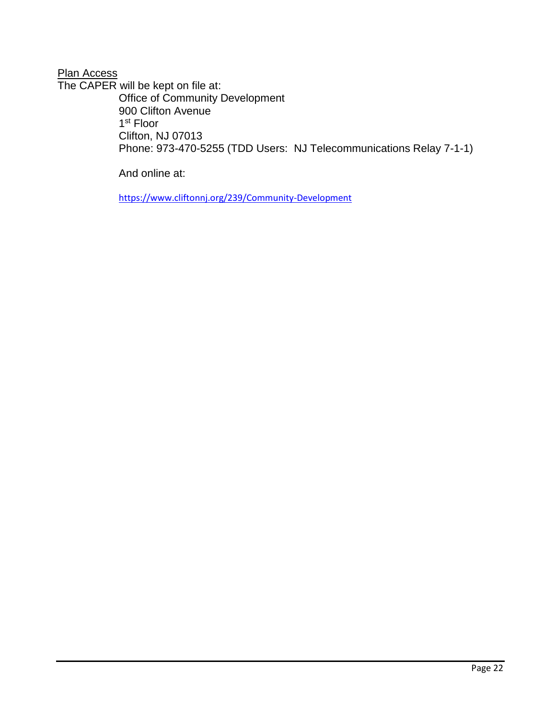## **Plan Access**

The CAPER will be kept on file at: Office of Community Development 900 Clifton Avenue 1 st Floor Clifton, NJ 07013 Phone: 973-470-5255 (TDD Users: NJ Telecommunications Relay 7-1-1)

And online at:

<https://www.cliftonnj.org/239/Community-Development>